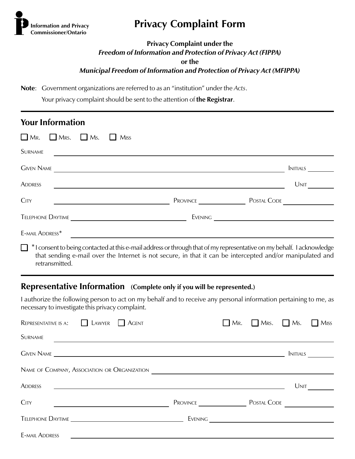

# **Privacy Complaint Form**

#### **Privacy Complaint under the**

*Freedom of Information and Protection of Privacy Act (FIPPA)*

**or the**

*Municipal Freedom of Information and Protection of Privacy Act (MFIPPA)*

**Note**: Government organizations are referred to as an "institution" under the *Acts*.

Your privacy complaint should be sent to the attention of **the Registrar**.

| <b>Your Information</b>                                                         |                                                                                                                                                                                                                                            |                      |
|---------------------------------------------------------------------------------|--------------------------------------------------------------------------------------------------------------------------------------------------------------------------------------------------------------------------------------------|----------------------|
| $\Box$ Mr. $\Box$ Mrs.<br>$\Box$ Ms.<br>Miss                                    |                                                                                                                                                                                                                                            |                      |
| <b>SURNAME</b><br><u> 1989 - Andrea Stadt Britain, fransk politik (d. 1989)</u> |                                                                                                                                                                                                                                            |                      |
|                                                                                 | Given Name                                                                                                                                                                                                                                 | <b>NITIALS</b>       |
| <b>ADDRESS</b>                                                                  |                                                                                                                                                                                                                                            | Unit                 |
| <b>CITY</b><br><u> 1989 - Johann Barbara, martxa alemaniar a</u>                |                                                                                                                                                                                                                                            | Province Postal Code |
| Telephone Daytime                                                               |                                                                                                                                                                                                                                            |                      |
| E-MAIL ADDRESS*                                                                 |                                                                                                                                                                                                                                            |                      |
| retransmitted.                                                                  | $\Box$ * I consent to being contacted at this e-mail address or through that of my representative on my behalf. I acknowledge<br>that sending e-mail over the Internet is not secure, in that it can be intercepted and/or manipulated and |                      |

#### **Representative Information (Complete only if you will be represented.)**

I authorize the following person to act on my behalf and to receive any personal information pertaining to me, as necessary to investigate this privacy complaint.

| LAWYER<br>REPRESENTATIVE IS A:<br><b>AGENT</b>                            |          | MRS.<br>Mr. | Ms.<br>l 1     | $\Box$ Miss |
|---------------------------------------------------------------------------|----------|-------------|----------------|-------------|
| <b>SURNAME</b>                                                            |          |             |                |             |
|                                                                           |          |             | <b>NITIALS</b> |             |
| NAME OF COMPANY, ASSOCIATION OR ORGANIZATION                              |          |             |                |             |
| <b>ADDRESS</b>                                                            |          |             | Unit           |             |
| <b>CITY</b><br><u> 1980 - Johann John Stein, fransk politik (</u> † 1900) | PROVINCE | POSTAL CODE |                |             |
|                                                                           | Evening  |             |                |             |
| <b>E-MAIL ADDRESS</b>                                                     |          |             |                |             |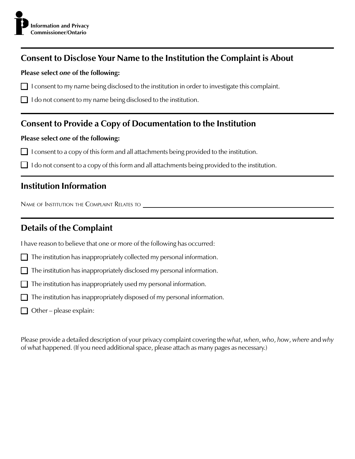### **Consent to Disclose Your Name to the Institution the Complaint is About**

#### **Please select** *one* **of the following:**

- $\Box$  I consent to my name being disclosed to the institution in order to investigate this complaint.
- $\Box$  I do not consent to my name being disclosed to the institution.

### **Consent to Provide a Copy of Documentation to the Institution**

#### **Please select** *one* **of the following:**

- $\Box$  I consent to a copy of this form and all attachments being provided to the institution.
- $\Box$  I do not consent to a copy of this form and all attachments being provided to the institution.

### **Institution Information**

NAME OF INSTITUTION THE COMPLAINT RELATES TO

## **Details of the Complaint**

I have reason to believe that one or more of the following has occurred:

- The institution has inappropriately collected my personal information.
- $\Box$  The institution has inappropriately disclosed my personal information.
- $\Box$  The institution has inappropriately used my personal information.
- $\Box$  The institution has inappropriately disposed of my personal information.
- $\Box$  Other please explain:

Please provide a detailed description of your privacy complaint covering the *what*, *when*, *who*, *how*, *where* and *why* of what happened. (If you need additional space, please attach as many pages as necessary.)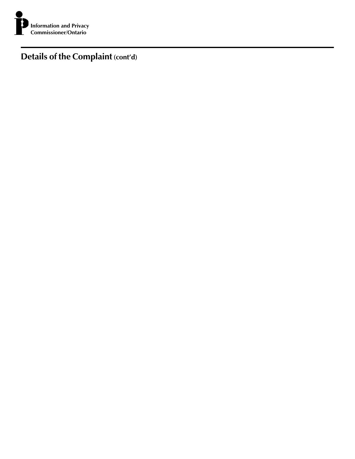

**Details of the Complaint (cont'd)**